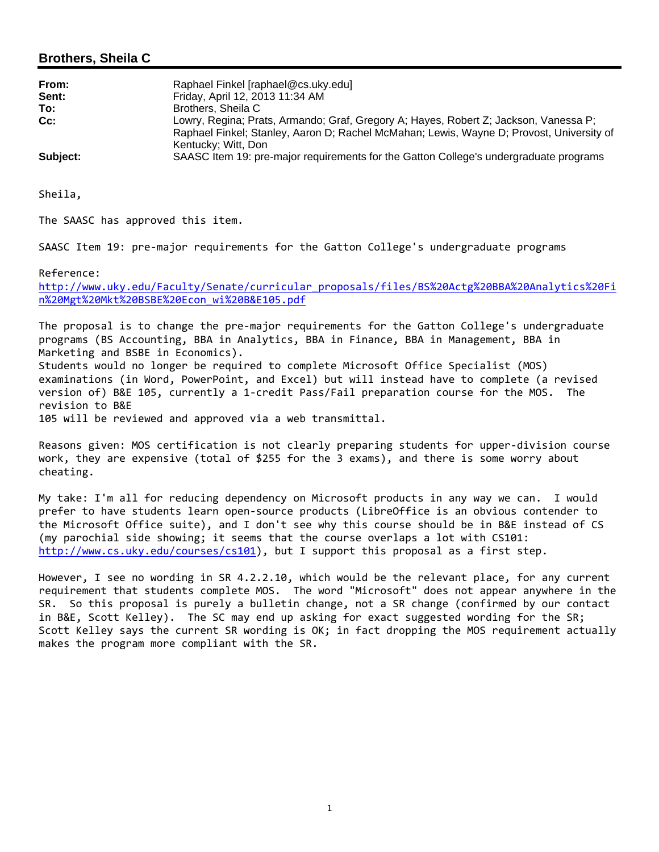# **Brothers, Sheila C**

| From:<br>Sent: | Raphael Finkel [raphael@cs.uky.edu]<br>Friday, April 12, 2013 11:34 AM                                                                                                                                  |
|----------------|---------------------------------------------------------------------------------------------------------------------------------------------------------------------------------------------------------|
| To:            | Brothers, Sheila C                                                                                                                                                                                      |
| $Cc$ :         | Lowry, Regina; Prats, Armando; Graf, Gregory A; Hayes, Robert Z; Jackson, Vanessa P;<br>Raphael Finkel; Stanley, Aaron D; Rachel McMahan; Lewis, Wayne D; Provost, University of<br>Kentucky; Witt, Don |
| Subject:       | SAASC Item 19: pre-major requirements for the Gatton College's undergraduate programs                                                                                                                   |

Sheila,

The SAASC has approved this item.

SAASC Item 19: pre-major requirements for the Gatton College's undergraduate programs

Reference:

http://www.uky.edu/Faculty/Senate/curricular\_proposals/files/BS%20Actg%20BBA%20Analytics%20Fi n%20Mgt%20Mkt%20BSBE%20Econ\_wi%20B&E105.pdf

The proposal is to change the pre‐major requirements for the Gatton College's undergraduate programs (BS Accounting, BBA in Analytics, BBA in Finance, BBA in Management, BBA in Marketing and BSBE in Economics). Students would no longer be required to complete Microsoft Office Specialist (MOS) examinations (in Word, PowerPoint, and Excel) but will instead have to complete (a revised version of) B&E 105, currently a 1‐credit Pass/Fail preparation course for the MOS. The revision to B&E

105 will be reviewed and approved via a web transmittal.

Reasons given: MOS certification is not clearly preparing students for upper-division course work, they are expensive (total of \$255 for the 3 exams), and there is some worry about cheating.

My take: I'm all for reducing dependency on Microsoft products in any way we can. I would prefer to have students learn open‐source products (LibreOffice is an obvious contender to the Microsoft Office suite), and I don't see why this course should be in B&E instead of CS (my parochial side showing; it seems that the course overlaps a lot with CS101: http://www.cs.uky.edu/courses/cs101), but I support this proposal as a first step.

However, I see no wording in SR 4.2.2.10, which would be the relevant place, for any current requirement that students complete MOS. The word "Microsoft" does not appear anywhere in the SR. So this proposal is purely a bulletin change, not a SR change (confirmed by our contact in B&E, Scott Kelley). The SC may end up asking for exact suggested wording for the SR; Scott Kelley says the current SR wording is OK; in fact dropping the MOS requirement actually makes the program more compliant with the SR.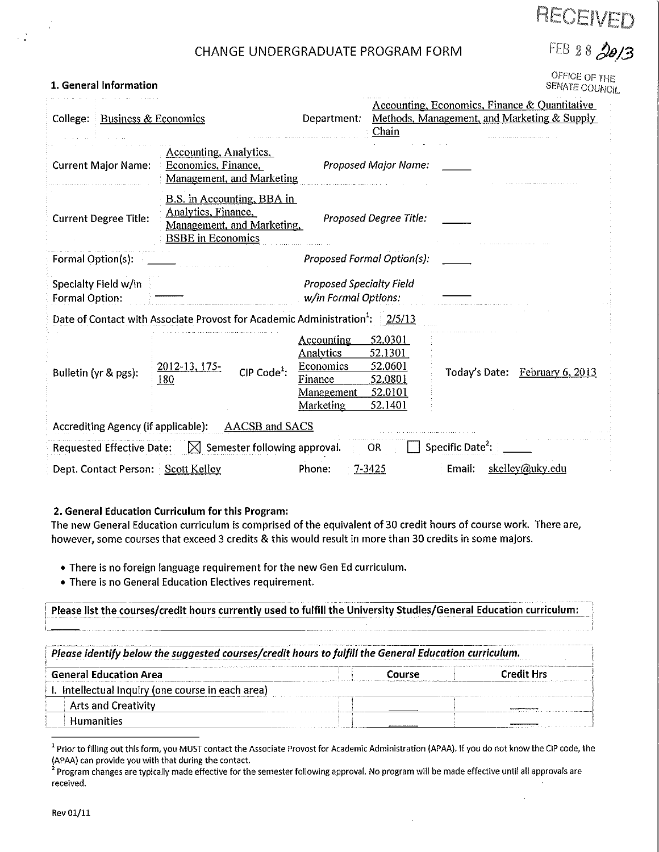# RECEIVED

FEB 28 2013

# CHANGE UNDERGRADUATE PROGRAM FORM

OFFICE OF THE **SENATE COUNCIL** 

| College:<br>Business & Economics       |                                                                                                                    | Department.                                                                       | Chain                                                          |                              | <b>Accounting, Economics, Finance &amp; Quantitative</b><br>Methods, Management, and Marketing & Supply |
|----------------------------------------|--------------------------------------------------------------------------------------------------------------------|-----------------------------------------------------------------------------------|----------------------------------------------------------------|------------------------------|---------------------------------------------------------------------------------------------------------|
| <b>Current Major Name:</b>             | Accounting, Analytics,<br>Economics, Finance,<br>Management, and Marketing                                         |                                                                                   | <b>Proposed Major Name:</b>                                    |                              |                                                                                                         |
| <b>Current Degree Title:</b>           | <b>B.S.</b> in Accounting, BBA in<br>Analytics, Finance,<br>Management, and Marketing,<br><b>BSBE</b> in Economics |                                                                                   | <b>Proposed Degree Title:</b>                                  |                              |                                                                                                         |
| Formal Option(s):                      |                                                                                                                    |                                                                                   | Proposed Formal Option(s):                                     |                              |                                                                                                         |
| Specialty Field w/in<br>Formal Option: |                                                                                                                    | <b>Proposed Specialty Field</b><br>w/in Formal Options:                           |                                                                |                              |                                                                                                         |
|                                        | Date of Contact with Associate Provost for Academic Administration <sup>1</sup> : 2/5/13                           |                                                                                   |                                                                |                              |                                                                                                         |
| Bulletin (yr & pgs):                   | 2012-13, 175-<br>CIP Code <sup>1</sup> :<br>180                                                                    | <b>Accounting</b><br>Analytics<br>Economics<br>Finance<br>Management<br>Marketing | 52.0301<br>52.1301<br>52.0601<br>52.0801<br>52.0101<br>52,1401 |                              | Today's Date: February 6, 2013                                                                          |
| Accrediting Agency (if applicable):    | AACSB and SACS                                                                                                     |                                                                                   |                                                                |                              |                                                                                                         |
| <b>Requested Effective Date:</b>       | $\boxtimes$ Semester following approval.                                                                           |                                                                                   | OR.                                                            | Specific Date <sup>2</sup> : |                                                                                                         |
| Dept. Contact Person: Scott Kelley     |                                                                                                                    | Phone:                                                                            | 7-3425                                                         | Email:                       | skelley@uky.edu                                                                                         |

#### 2. General Education Curriculum for this Program:

1. General Information

The new General Education curriculum is comprised of the equivalent of 30 credit hours of course work. There are, however, some courses that exceed 3 credits & this would result in more than 30 credits in some majors.

- There is no foreign language requirement for the new Gen Ed curriculum.
- There is no General Education Electives requirement.

Please list the courses/credit hours currently used to fulfill the University Studies/General Education curriculum:

Please identify below the suggested courses/credit hours to fulfill the General Education curriculum.

| <b>General Education Area</b>                     | Course | <b>Credit Hrs</b> |
|---------------------------------------------------|--------|-------------------|
| I. Intellectual Inquiry (one course in each area) |        |                   |
| <b>Arts and Creativity</b>                        |        |                   |
| <b>Humanities</b>                                 |        |                   |

<sup>&</sup>lt;sup>1</sup> Prior to filling out this form, you MUST contact the Associate Provost for Academic Administration (APAA). If you do not know the CIP code, the (APAA) can provide you with that during the contact.

<sup>&</sup>lt;sup>2</sup> Program changes are typically made effective for the semester following approval. No program will be made effective until all approvals are received.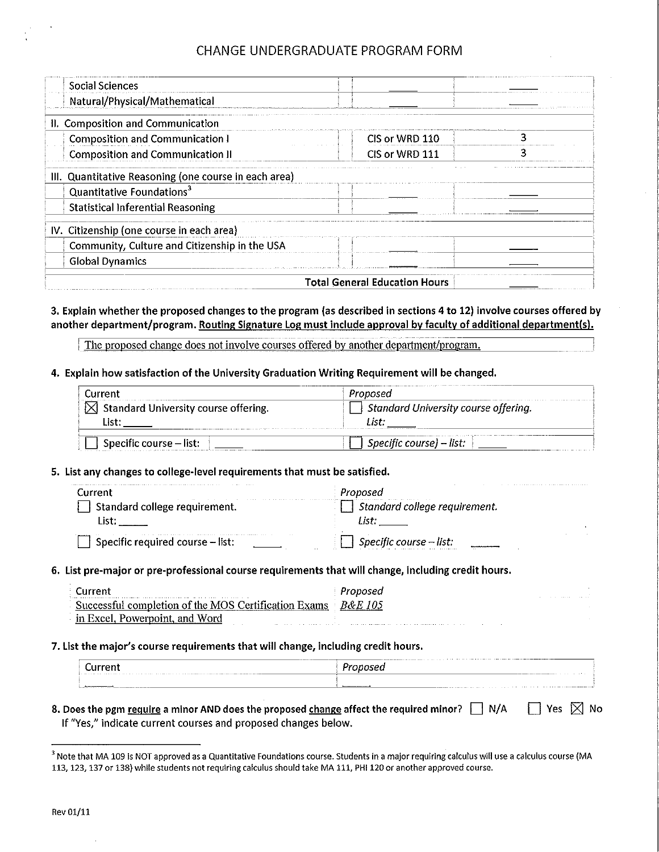# CHANGE UNDERGRADUATE PROGRAM FORM

| Social Sciences                                       |                                      |  |
|-------------------------------------------------------|--------------------------------------|--|
| Natural/Physical/Mathematical                         |                                      |  |
| II. Composition and Communication                     |                                      |  |
| <b>Composition and Communication I</b>                | CIS or WRD 110                       |  |
| <b>Composition and Communication II</b>               | CIS or WRD 111                       |  |
| III. Quantitative Reasoning (one course in each area) |                                      |  |
| Quantitative Foundations <sup>3</sup>                 |                                      |  |
| <b>Statistical Inferential Reasoning</b>              |                                      |  |
| IV. Citizenship (one course in each area)             |                                      |  |
| Community, Culture and Citizenship in the USA         |                                      |  |
| <b>Global Dynamics</b>                                |                                      |  |
|                                                       | <b>Total General Education Hours</b> |  |

#### 3. Explain whether the proposed changes to the program (as described in sections 4 to 12) involve courses offered by another department/program. Routing Signature Log must include approval by faculty of additional department(s).

The proposed change does not involve courses offered by another department/program.

#### 4. Explain how satisfaction of the University Graduation Writing Requirement will be changed.

| Current                                          | Proposed                             |
|--------------------------------------------------|--------------------------------------|
| $\boxtimes$ Standard University course offering. | Standard University course offering. |
|                                                  |                                      |
|                                                  |                                      |
| Specific course $-$ list:                        | Specific course) – list:             |

#### 5. List any changes to college-level requirements that must be satisfied.

| Current                          | roposed                       |
|----------------------------------|-------------------------------|
| Standard college requirement.    | Standard college requirement. |
|                                  |                               |
| Specific required course - list: | Specific course $-$ list:     |

6. List pre-major or pre-professional course requirements that will change, including credit hours.

| Current                                              | Proposed  | $\cdots$ |
|------------------------------------------------------|-----------|----------|
| Successful completion of the MOS Certification Exams | - R&E 105 |          |
| in Excel, Powerpoint, and Word                       |           |          |

#### 7. List the major's course requirements that will change, including credit hours.

| -----------<br>Current<br>1. In the company of the company of the company of the company of the company of the company of the company of the company of the company of the company of the company of the company of the company of the company of the c |               |
|---------------------------------------------------------------------------------------------------------------------------------------------------------------------------------------------------------------------------------------------------------|---------------|
| the company of the company of the company of the company of the company of the company of the company of the company of the company of the company of the company of the company of the company of the company of the company                           | _____________ |

#### $\Box$  Yes  $\boxtimes$  No 8. Does the pgm require a minor AND does the proposed change affect the required minor?  $\Box$  N/A If "Yes," indicate current courses and proposed changes below.

<sup>&</sup>lt;sup>3</sup> Note that MA 109 is NOT approved as a Quantitative Foundations course. Students in a major requiring calculus will use a calculus course (MA 113, 123, 137 or 138) while students not requiring calculus should take MA 111, PHI 120 or another approved course.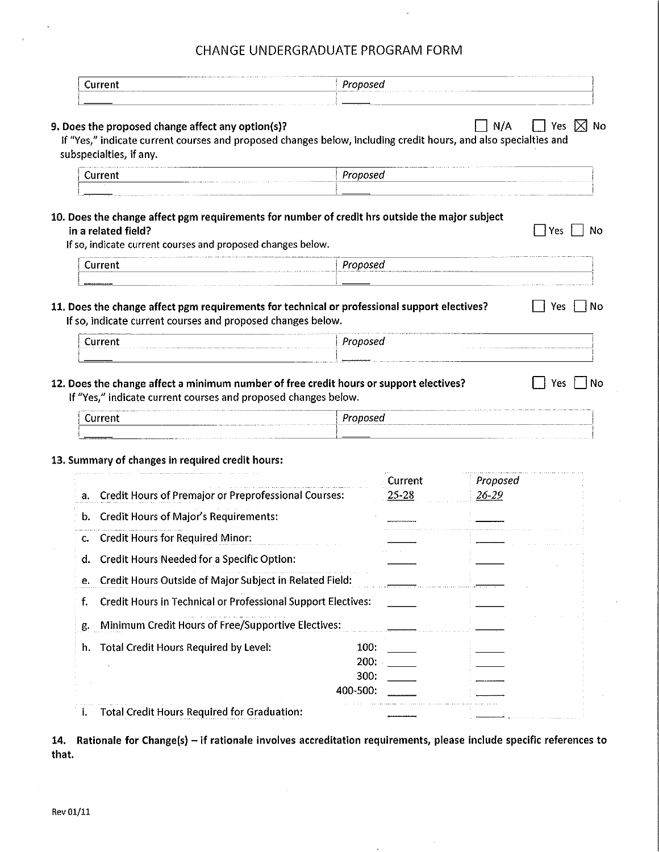# CHANGE UNDERGRADUATE PROGRAM FORM

| Current                                                                                                                                                                                         | Proposed                         |                      |                   |                 |
|-------------------------------------------------------------------------------------------------------------------------------------------------------------------------------------------------|----------------------------------|----------------------|-------------------|-----------------|
| 9. Does the proposed change affect any option(s)?<br>If "Yes," indicate current courses and proposed changes below, including credit hours, and also specialties and<br>subspecialties, if any. |                                  |                      | N/A               | Yes $\boxtimes$ |
| Current                                                                                                                                                                                         | Proposed                         |                      |                   |                 |
| 10. Does the change affect pgm requirements for number of credit hrs outside the major subject<br>in a related field?<br>If so, indicate current courses and proposed changes below.            |                                  |                      |                   | ∣ ∤Yes<br>No    |
| Current                                                                                                                                                                                         | Proposed                         |                      |                   |                 |
| 11. Does the change affect pgm requirements for technical or professional support electives?<br>If so, indicate current courses and proposed changes below.                                     |                                  |                      |                   | Yes             |
| Current                                                                                                                                                                                         | Proposed                         |                      |                   |                 |
|                                                                                                                                                                                                 |                                  |                      |                   |                 |
| 12. Does the change affect a minimum number of free credit hours or support electives?<br>If "Yes," indicate current courses and proposed changes below.<br>Current                             | Proposed                         |                      |                   | Yes             |
|                                                                                                                                                                                                 |                                  |                      |                   |                 |
| a. Credit Hours of Premajor or Preprofessional Courses:                                                                                                                                         |                                  | Current<br>$25 - 28$ | Proposed<br>26-29 |                 |
| 13. Summary of changes in required credit hours:<br>b. Credit Hours of Major's Requirements:                                                                                                    |                                  |                      |                   |                 |
| c. Credit Hours for Required Minor:<br><b>Credit Hours Needed for a Specific Option:</b><br>d.                                                                                                  |                                  |                      |                   |                 |
| Credit Hours Outside of Major Subject in Related Field:<br>е.                                                                                                                                   |                                  |                      |                   |                 |
| Credit Hours in Technical or Professional Support Electives:<br>f.                                                                                                                              |                                  |                      |                   |                 |
| Minimum Credit Hours of Free/Supportive Electives:<br>g.                                                                                                                                        |                                  |                      |                   |                 |
| <b>Total Credit Hours Required by Level:</b><br>h.                                                                                                                                              | 100:<br>200:<br>300:<br>400-500: |                      |                   |                 |

14. Rationale for Change(s) - if rationale involves accreditation requirements, please include specific references to that.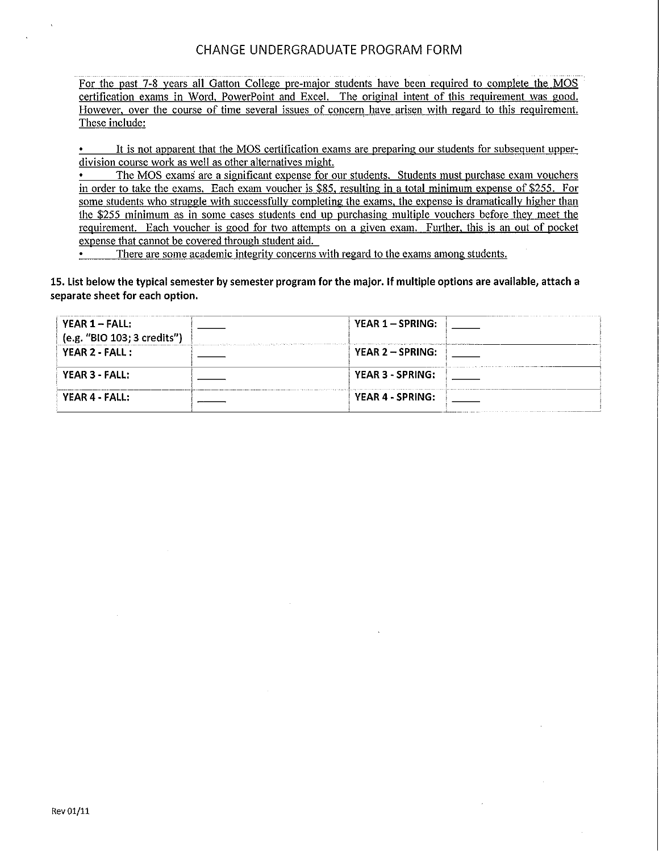For the past 7-8 years all Gatton College pre-major students have been required to complete the MOS certification exams in Word, PowerPoint and Excel. The original intent of this requirement was good. However, over the course of time several issues of concern have arisen with regard to this requirement. These include:

It is not apparent that the MOS certification exams are preparing our students for subsequent upperdivision course work as well as other alternatives might.

The MOS exams are a significant expense for our students. Students must purchase exam vouchers in order to take the exams. Each exam voucher is \$85, resulting in a total minimum expense of \$255. For some students who struggle with successfully completing the exams, the expense is dramatically higher than the \$255 minimum as in some cases students end up purchasing multiple vouchers before they meet the requirement. Each voucher is good for two attempts on a given exam. Further, this is an out of pocket expense that cannot be covered through student aid.

There are some academic integrity concerns with regard to the exams among students.  $\bullet$  .

15. List below the typical semester by semester program for the major. If multiple options are available, attach a separate sheet for each option.

| $YEAR 1 - FALL:$<br>(e.g. "BIO 103; 3 credits") | YEAR $1 - SPRING$ : |  |
|-------------------------------------------------|---------------------|--|
| YEAR 2 - FALL :                                 | YEAR $2 - SPRING$ : |  |
| YEAR 3 - FALL:                                  | YEAR 3 - SPRING:    |  |
| YEAR 4 - FALL:                                  | YEAR 4 - SPRING:    |  |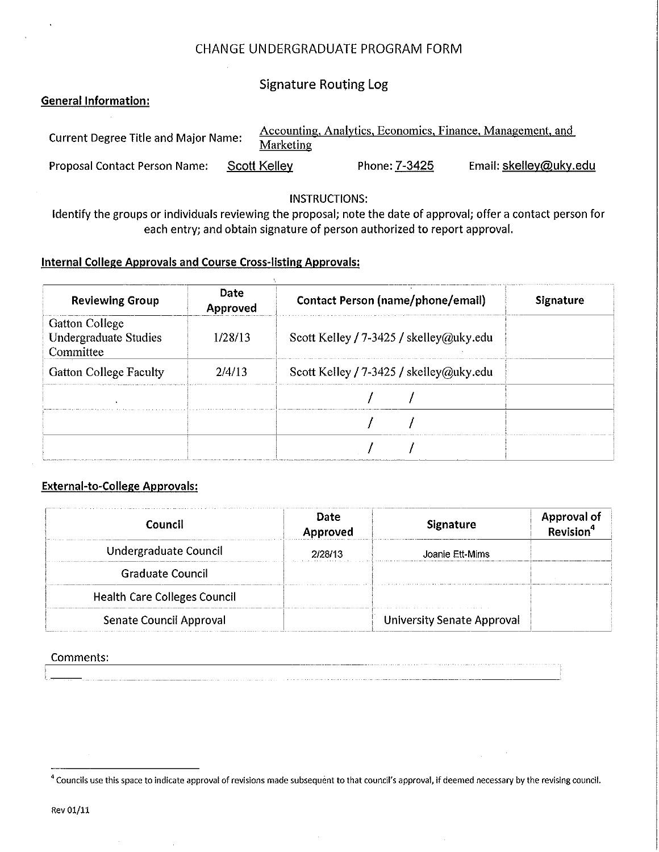# CHANGE UNDERGRADUATE PROGRAM FORM

**Signature Routing Log** 

# **General Information:**

| <b>Current Degree Title and Major Name:</b> | <b>Marketing</b> |               | Accounting, Analytics, Economics, Finance, Management, and |
|---------------------------------------------|------------------|---------------|------------------------------------------------------------|
| <b>Proposal Contact Person Name:</b>        | Scott Kelley     | Phone: 7-3425 | Email: skelley@uky.edu                                     |

# **INSTRUCTIONS:**

Identify the groups or individuals reviewing the proposal; note the date of approval; offer a contact person for each entry; and obtain signature of person authorized to report approval.

# **Internal College Approvals and Course Cross-listing Approvals:**

| <b>Reviewing Group</b>                                             | <b>Date</b><br>Approved | <b>Contact Person (name/phone/email)</b> | <b>Signature</b> |
|--------------------------------------------------------------------|-------------------------|------------------------------------------|------------------|
| <b>Gatton College</b><br><b>Undergraduate Studies</b><br>Committee | 1/28/13                 | Scott Kelley / 7-3425 / skelley@uky.edu  |                  |
| <b>Gatton College Faculty</b>                                      | 2/4/13                  | Scott Kelley / 7-3425 / skelley@uky.edu  |                  |
|                                                                    |                         |                                          |                  |
|                                                                    |                         |                                          |                  |
|                                                                    |                         |                                          |                  |

# **External-to-College Approvals:**

| Council                             | <b>Date</b><br>Approved | Signature                         | <b>Approval of</b><br>Revision <sup>4</sup> |
|-------------------------------------|-------------------------|-----------------------------------|---------------------------------------------|
| Undergraduate Council               | 2/28/13                 | Joanie Ett-Mims                   |                                             |
| Graduate Council                    |                         |                                   |                                             |
| <b>Health Care Colleges Council</b> |                         |                                   |                                             |
| Senate Council Approval             |                         | <b>University Senate Approval</b> |                                             |

# Comments:

<sup>4</sup> Councils use this space to indicate approval of revisions made subsequent to that council's approval, if deemed necessary by the revising council.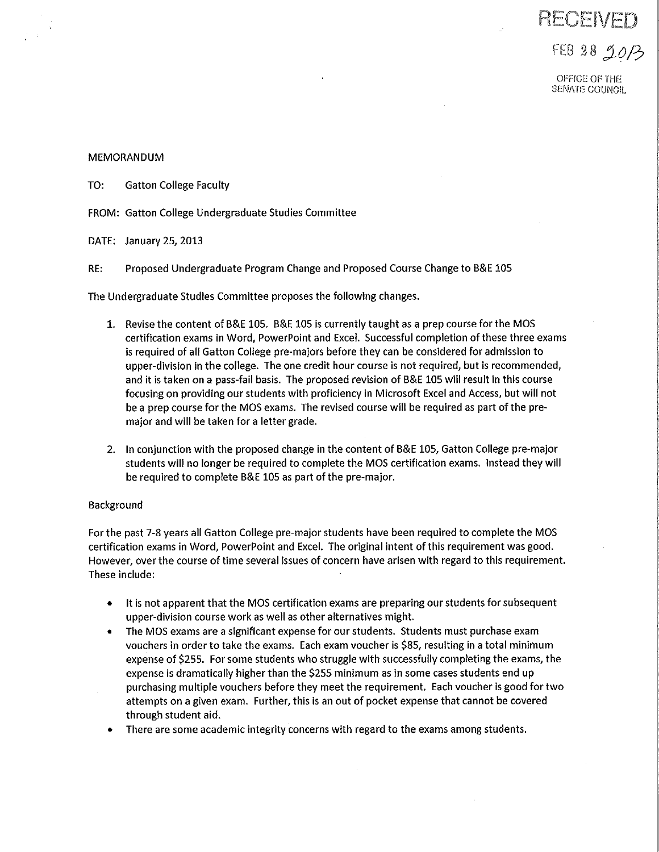# RECEIVED

# FEB 28 20/3

OFFICE OF THE SENATE COUNCIL

# **MEMORANDUM**

TO: **Gatton College Faculty** 

FROM: Gatton College Undergraduate Studies Committee

DATE: January 25, 2013

RE: Proposed Undergraduate Program Change and Proposed Course Change to B&E 105

The Undergraduate Studies Committee proposes the following changes.

- 1. Revise the content of B&E 105. B&E 105 is currently taught as a prep course for the MOS certification exams in Word, PowerPoint and Excel. Successful completion of these three exams is required of all Gatton College pre-majors before they can be considered for admission to upper-division in the college. The one credit hour course is not required, but is recommended, and it is taken on a pass-fail basis. The proposed revision of B&E 105 will result in this course focusing on providing our students with proficiency in Microsoft Excel and Access, but will not be a prep course for the MOS exams. The revised course will be required as part of the premajor and will be taken for a letter grade.
- 2. In conjunction with the proposed change in the content of B&E 105, Gatton College pre-major students will no longer be required to complete the MOS certification exams. Instead they will be required to complete B&E 105 as part of the pre-major.

# Background

For the past 7-8 years all Gatton College pre-major students have been required to complete the MOS certification exams in Word, PowerPoint and Excel. The original intent of this requirement was good. However, over the course of time several issues of concern have arisen with regard to this requirement. These include:

- It is not apparent that the MOS certification exams are preparing our students for subsequent  $\bullet$ upper-division course work as well as other alternatives might.
- The MOS exams are a significant expense for our students. Students must purchase exam  $\bullet$ vouchers in order to take the exams. Each exam voucher is \$85, resulting in a total minimum expense of \$255. For some students who struggle with successfully completing the exams, the expense is dramatically higher than the \$255 minimum as in some cases students end up purchasing multiple vouchers before they meet the requirement. Each voucher is good for two attempts on a given exam. Further, this is an out of pocket expense that cannot be covered through student aid.
- There are some academic integrity concerns with regard to the exams among students.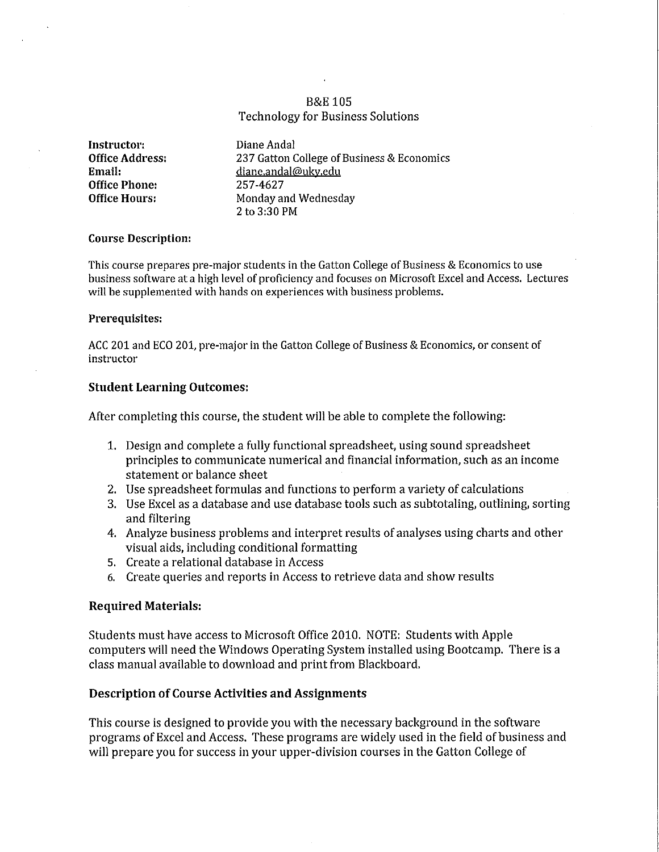# **B&E 105 Technology for Business Solutions**

Instructor: **Office Address:** Email: **Office Phone: Office Hours:** 

Diane Andal 237 Gatton College of Business & Economics diane.andal@uky.edu 257-4627 Monday and Wednesday  $2$  to  $3:30$  PM

#### **Course Description:**

This course prepares pre-major students in the Gatton College of Business & Economics to use business software at a high level of proficiency and focuses on Microsoft Excel and Access. Lectures will be supplemented with hands on experiences with business problems.

#### Prerequisites:

ACC 201 and ECO 201, pre-major in the Gatton College of Business & Economics, or consent of instructor

# **Student Learning Outcomes:**

After completing this course, the student will be able to complete the following:

- 1. Design and complete a fully functional spreadsheet, using sound spreadsheet principles to communicate numerical and financial information, such as an income statement or balance sheet
- 2. Use spreadsheet formulas and functions to perform a variety of calculations
- 3. Use Excel as a database and use database tools such as subtotaling, outlining, sorting and filtering
- 4. Analyze business problems and interpret results of analyses using charts and other visual aids, including conditional formatting
- 5. Create a relational database in Access
- 6. Create queries and reports in Access to retrieve data and show results

# **Required Materials:**

Students must have access to Microsoft Office 2010. NOTE: Students with Apple computers will need the Windows Operating System installed using Bootcamp. There is a class manual available to download and print from Blackboard.

# **Description of Course Activities and Assignments**

This course is designed to provide you with the necessary background in the software programs of Excel and Access. These programs are widely used in the field of business and will prepare you for success in your upper-division courses in the Gatton College of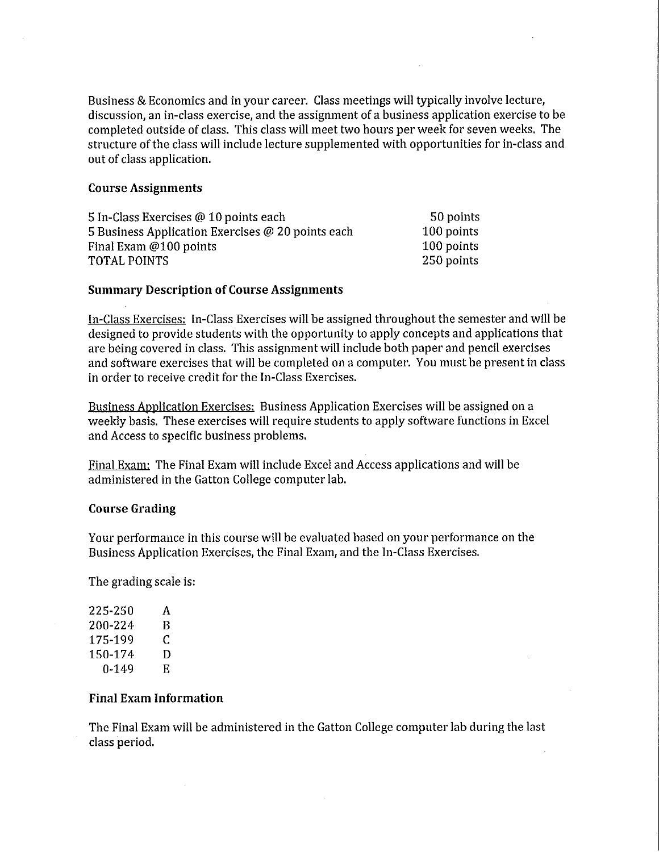Business & Economics and in your career. Class meetings will typically involve lecture, discussion, an in-class exercise, and the assignment of a business application exercise to be completed outside of class. This class will meet two hours per week for seven weeks. The structure of the class will include lecture supplemented with opportunities for in-class and out of class application.

#### **Course Assignments**

| 5 In-Class Exercises @ 10 points each             | 50 points  |
|---------------------------------------------------|------------|
| 5 Business Application Exercises @ 20 points each | 100 points |
| Final Exam @100 points                            | 100 points |
| TOTAL POINTS                                      | 250 points |

#### **Summary Description of Course Assignments**

In-Class Exercises: In-Class Exercises will be assigned throughout the semester and will be designed to provide students with the opportunity to apply concepts and applications that are being covered in class. This assignment will include both paper and pencil exercises and software exercises that will be completed on a computer. You must be present in class in order to receive credit for the In-Class Exercises.

Business Application Exercises: Business Application Exercises will be assigned on a weekly basis. These exercises will require students to apply software functions in Excel and Access to specific business problems.

Final Exam: The Final Exam will include Excel and Access applications and will be administered in the Gatton College computer lab.

#### **Course Grading**

Your performance in this course will be evaluated based on your performance on the Business Application Exercises, the Final Exam, and the In-Class Exercises.

The grading scale is:

| 225-250 | A  |
|---------|----|
| 200-224 | R  |
| 175-199 | C  |
| 150-174 | D  |
| 0-149   | E. |

# **Final Exam Information**

The Final Exam will be administered in the Gatton College computer lab during the last class period.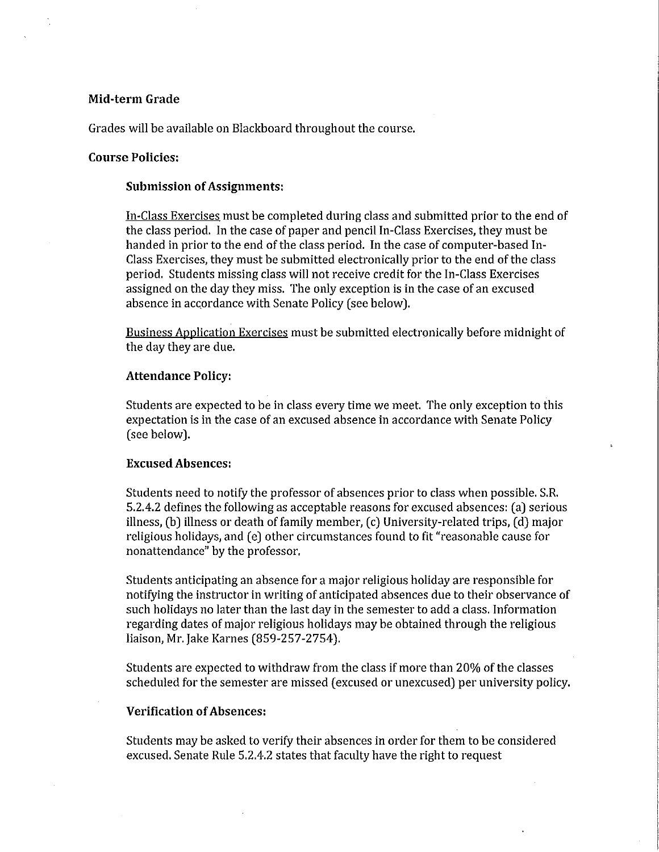#### Mid-term Grade

Grades will be available on Blackboard throughout the course.

#### **Course Policies:**

#### **Submission of Assignments:**

In-Class Exercises must be completed during class and submitted prior to the end of the class period. In the case of paper and pencil In-Class Exercises, they must be handed in prior to the end of the class period. In the case of computer-based In-Class Exercises, they must be submitted electronically prior to the end of the class period. Students missing class will not receive credit for the In-Class Exercises assigned on the day they miss. The only exception is in the case of an excused absence in accordance with Senate Policy (see below).

Business Application Exercises must be submitted electronically before midnight of the day they are due.

#### **Attendance Policy:**

Students are expected to be in class every time we meet. The only exception to this expectation is in the case of an excused absence in accordance with Senate Policy (see below).

# **Excused Absences:**

Students need to notify the professor of absences prior to class when possible. S.R. 5.2.4.2 defines the following as acceptable reasons for excused absences: (a) serious illness, (b) illness or death of family member, (c) University-related trips, (d) major religious holidays, and (e) other circumstances found to fit "reasonable cause for nonattendance" by the professor.

Students anticipating an absence for a major religious holiday are responsible for notifying the instructor in writing of anticipated absences due to their observance of such holidays no later than the last day in the semester to add a class. Information regarding dates of major religious holidays may be obtained through the religious liaison, Mr. Jake Karnes (859-257-2754).

Students are expected to withdraw from the class if more than 20% of the classes scheduled for the semester are missed (excused or unexcused) per university policy.

#### **Verification of Absences:**

Students may be asked to verify their absences in order for them to be considered excused. Senate Rule 5.2.4.2 states that faculty have the right to request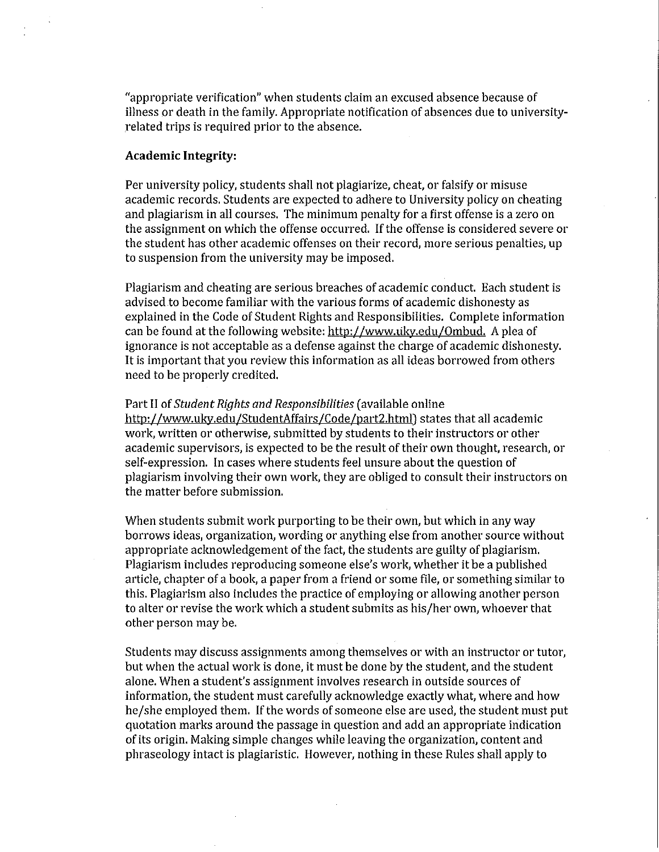"appropriate verification" when students claim an excused absence because of illness or death in the family. Appropriate notification of absences due to universityrelated trips is required prior to the absence.

# **Academic Integrity:**

Per university policy, students shall not plagiarize, cheat, or falsify or misuse academic records. Students are expected to adhere to University policy on cheating and plagiarism in all courses. The minimum penalty for a first offense is a zero on the assignment on which the offense occurred. If the offense is considered severe or the student has other academic offenses on their record, more serious penalties, up to suspension from the university may be imposed.

Plagiarism and cheating are serious breaches of academic conduct. Each student is advised to become familiar with the various forms of academic dishonesty as explained in the Code of Student Rights and Responsibilities. Complete information can be found at the following website: http://www.uky.edu/Ombud. A plea of ignorance is not acceptable as a defense against the charge of academic dishonesty. It is important that you review this information as all ideas borrowed from others need to be properly credited.

#### Part II of Student Rights and Responsibilities (available online

http://www.uky.edu/StudentAffairs/Code/part2.html) states that all academic work, written or otherwise, submitted by students to their instructors or other academic supervisors, is expected to be the result of their own thought, research, or self-expression. In cases where students feel unsure about the question of plagiarism involving their own work, they are obliged to consult their instructors on the matter before submission.

When students submit work purporting to be their own, but which in any way borrows ideas, organization, wording or anything else from another source without appropriate acknowledgement of the fact, the students are guilty of plagiarism. Plagiarism includes reproducing someone else's work, whether it be a published article, chapter of a book, a paper from a friend or some file, or something similar to this. Plagiarism also includes the practice of employing or allowing another person to alter or revise the work which a student submits as his/her own, whoever that other person may be.

Students may discuss assignments among themselves or with an instructor or tutor, but when the actual work is done, it must be done by the student, and the student alone. When a student's assignment involves research in outside sources of information, the student must carefully acknowledge exactly what, where and how he/she employed them. If the words of someone else are used, the student must put quotation marks around the passage in question and add an appropriate indication of its origin. Making simple changes while leaving the organization, content and phraseology intact is plagiaristic. However, nothing in these Rules shall apply to